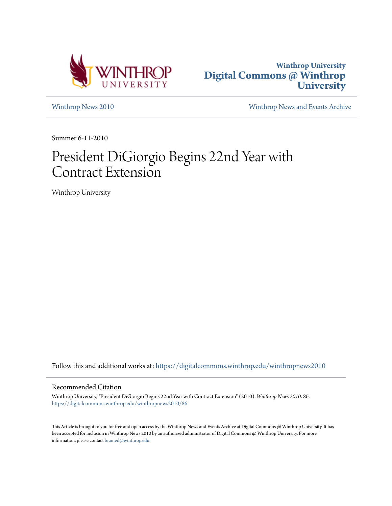



[Winthrop News 2010](https://digitalcommons.winthrop.edu/winthropnews2010?utm_source=digitalcommons.winthrop.edu%2Fwinthropnews2010%2F86&utm_medium=PDF&utm_campaign=PDFCoverPages) [Winthrop News and Events Archive](https://digitalcommons.winthrop.edu/winthropnewsarchives?utm_source=digitalcommons.winthrop.edu%2Fwinthropnews2010%2F86&utm_medium=PDF&utm_campaign=PDFCoverPages)

Summer 6-11-2010

## President DiGiorgio Begins 22nd Year with Contract Extension

Winthrop University

Follow this and additional works at: [https://digitalcommons.winthrop.edu/winthropnews2010](https://digitalcommons.winthrop.edu/winthropnews2010?utm_source=digitalcommons.winthrop.edu%2Fwinthropnews2010%2F86&utm_medium=PDF&utm_campaign=PDFCoverPages)

## Recommended Citation

Winthrop University, "President DiGiorgio Begins 22nd Year with Contract Extension" (2010). *Winthrop News 2010*. 86. [https://digitalcommons.winthrop.edu/winthropnews2010/86](https://digitalcommons.winthrop.edu/winthropnews2010/86?utm_source=digitalcommons.winthrop.edu%2Fwinthropnews2010%2F86&utm_medium=PDF&utm_campaign=PDFCoverPages)

This Article is brought to you for free and open access by the Winthrop News and Events Archive at Digital Commons @ Winthrop University. It has been accepted for inclusion in Winthrop News 2010 by an authorized administrator of Digital Commons @ Winthrop University. For more information, please contact [bramed@winthrop.edu](mailto:bramed@winthrop.edu).